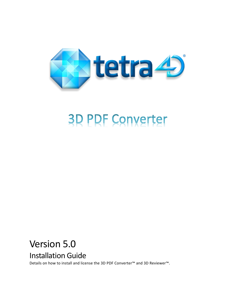

# **3D PDF Converter**

# Version 5.0 Installation Guide

Details on how to install and license the 3D PDF Converter™ and 3D Reviewer™.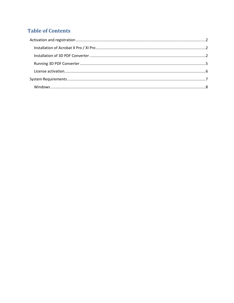## **Table of Contents**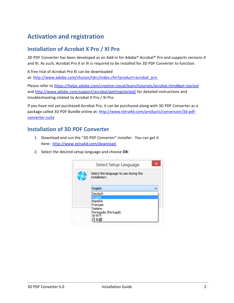# <span id="page-2-0"></span>**Activation and registration**

#### <span id="page-2-1"></span>**Installation of Acrobat X Pro / XI Pro**

3D PDF Converter has been developed as an Add-in for Adobe® Acrobat® Pro and supports versions X and XI. As such, Acrobat Pro X or XI is required to be installed for 3D PDF Converter to function.

A free trial of Acrobat Pro XI can be downloaded at: [http://www.adobe.com/cfusion/tdrc/index.cfm?product=acrobat\\_pro](http://www.adobe.com/cfusion/tdrc/index.cfm?product=acrobat_pro)

Please refer to [https://helpx.adobe.com/creative-cloud/learn/tutorials/acrobat.html#get-started](https://helpx.adobe.com/creative-cloud/learn/tutorials/acrobat.html%23get-started) and<http://www.adobe.com/support/acrobat/gettingstarted/> for detailed instructions and troubleshooting related to Acrobat X Pro / XI Pro.

If you have not yet purchased Acrobat Pro, it can be purchased along with 3D PDF Converter as a package called 3D PDF Bundle online at: [http://www.tetra4d.com/products/conversion/3d-pdf](http://www.tetra4d.com/products/conversion/3d-pdf-converter-suite)[converter-suite](http://www.tetra4d.com/products/conversion/3d-pdf-converter-suite)

#### <span id="page-2-2"></span>**Installation of 3D PDF Converter**

- 1. Download and run the "3D PDF Converter" installer. You can get it here: <http://www.tetra4d.com/download>
- 2. Select the desired setup language and choose **OK**:

| Select Setup Language                                  | × |
|--------------------------------------------------------|---|
| Select the language to use during the<br>installation: |   |
| English                                                | v |
| Deutsch                                                |   |
| English                                                |   |
| Español                                                |   |
| Français                                               |   |
| Italiano                                               |   |
| Português (Portugal)                                   |   |
| 하국어                                                    |   |
| 本語                                                     |   |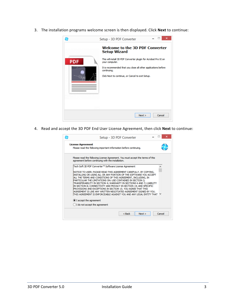3. The installation programs welcome screen is then displayed. Click **Next** to continue:



4. Read and accept the 3D PDF End User License Agreement, then click **Next** to continue:

| <b>License Agreement</b><br>Please read the following important information before continuing.                                                                                                                                                                                                                                                                                                                                                                                                                                                                                                                                   |
|----------------------------------------------------------------------------------------------------------------------------------------------------------------------------------------------------------------------------------------------------------------------------------------------------------------------------------------------------------------------------------------------------------------------------------------------------------------------------------------------------------------------------------------------------------------------------------------------------------------------------------|
| Please read the following License Agreement. You must accept the terms of this<br>agreement before continuing with the installation.                                                                                                                                                                                                                                                                                                                                                                                                                                                                                             |
| Tech Soft 3D PDF Converter™ Software License Agreement                                                                                                                                                                                                                                                                                                                                                                                                                                                                                                                                                                           |
| NOTICE TO USER: PLEASE READ THIS AGREEMENT CAREFULLY. BY COPYING,<br>INSTALLING OR USING ALL OR ANY PORTION OF THE SOFTWARE YOU ACCEPT<br>ALL THE TERMS AND CONDITIONS OF THIS AGREEMENT, INCLUDING, IN<br>PARTICULAR THE LIMITATIONS ON: USE CONTAINED IN SECTION 2;<br>TRANSFERABILITY IN SECTION 4; WARRANTY IN SECTIONS 6 AND 7; LIABILITY<br>IN SECTION 8: CONNECTIVITY AND PRIVACY IN SECTION 14: AND SPECIFIC<br>PROVISIONS AND EXCEPTIONS IN SECTION 15. YOU AGREE THAT THIS<br>AGREEMENT IS LIKE ANY WRITTEN NEGOTIATED AGREEMENT SIGNED BY YOU.<br>THIS AGREEMENT IS ENFORCEABLE AGAINST YOU AND ANY LEGAL ENTITY THAT |
| I accept the agreement                                                                                                                                                                                                                                                                                                                                                                                                                                                                                                                                                                                                           |
| $\bigcirc$ I do not accept the agreement                                                                                                                                                                                                                                                                                                                                                                                                                                                                                                                                                                                         |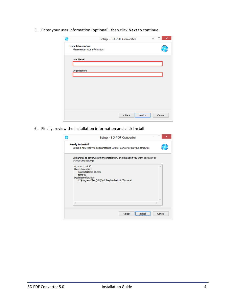5. Enter your user information (optional), then click **Next** to continue:

| æ                       |                                | Setup - 3D PDF Converter |      | $\boldsymbol{\mathsf{x}}$ |
|-------------------------|--------------------------------|--------------------------|------|---------------------------|
| <b>User Information</b> | Please enter your information. |                          |      |                           |
| User Name:              |                                |                          |      |                           |
| Organization:           |                                |                          |      |                           |
|                         |                                |                          |      |                           |
|                         |                                |                          |      |                           |
|                         |                                |                          |      |                           |
|                         |                                |                          |      |                           |
|                         |                                | $<$ Back                 | Next | Cancel                    |

6. Finally, review the installation information and click **Install**:

| Setup - 3D PDF Converter                                                                                                                                | ×      |
|---------------------------------------------------------------------------------------------------------------------------------------------------------|--------|
| <b>Ready to Install</b><br>Setup is now ready to begin installing 3D PDF Converter on your computer.                                                    |        |
| Click Install to continue with the installation, or click Back if you want to review or<br>change any settings.                                         |        |
| Acrobat 11.0.10<br>User information:<br>support@tetra4d.com<br>tetra4D<br>Destination location:<br>C: Vrogram Files (x86) Vadobe Vacrobat 11.0 Vacrobat | ×      |
| z                                                                                                                                                       |        |
| ,,,,,,,,,,,,,,,,,,,,,,,,,,,,,,,,,,<br>$<$ Back<br>Instal<br><i><u><b><u>ommunummunumu</u>nu</b></u></i>                                                 | Cancel |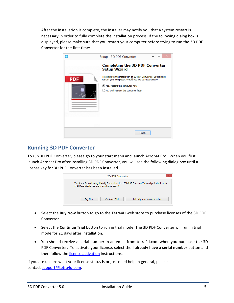After the installation is complete, the installer may notify you that a system restart is necessary in order to fully complete the installation process. If the following dialog box is displayed, please make sure that you restart your computer before trying to run the 3D PDF Converter for the first time:



#### <span id="page-5-0"></span>**Running 3D PDF Converter**

To run 3D PDF Converter, please go to your start menu and launch Acrobat Pro. When you first launch Acrobat Pro after installing 3D PDF Converter, you will see the following dialog box until a license key for 3D PDF Converter has been installed.



- Select the **Buy Now** button to go to the Tetra4D web store to purchase licenses of the 3D PDF Converter.
- Select the **Continue Trial** button to run in trial mode. The 3D PDF Converter will run in trial mode for 21 days after installation.
- You should receive a serial number in an email from tetra4d.com when you purchase the 3D PDF Converter. To activate your license, select the **I already have a serial number** button and then follow the [license activation](#page-6-0) instructions.

If you are unsure what your license status is or just need help in general, please contact [support@tetra4d.com.](mailto:support@tetra4d.com)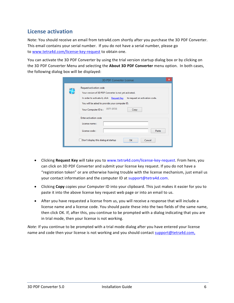#### <span id="page-6-0"></span>**License activation**

Note: You should receive an email from tetra4d.com shortly after you purchase the 3D PDF Converter. This email contains your serial number. If you do not have a serial number, please go to [www.tetra4d.com/license-key-request](http://www.tetra4d.com/license-key-request) to obtain one.

You can activate the 3D PDF Converter by using the trial version startup dialog box or by clicking on the 3D PDF Converter Menu and selecting the **About 3D PDF Converter** menu option. In both cases, the following dialog box will be displayed:

| <b>3D PDF Converter License</b>                                                                                                                                                                                                                                  | × |
|------------------------------------------------------------------------------------------------------------------------------------------------------------------------------------------------------------------------------------------------------------------|---|
| Request activation code<br>Your version of 3D PDF Converter is not yet activated.<br>In order to activate it, click Request Key<br>to request an activation code.<br>You will be asked to provide your computer ID.<br>097F-BFD8<br>Your Computer ID is:<br>Copy |   |
| Enter activation code<br>License name:<br>License code:<br>Paste<br>Don't display this dialog at startup<br>Cancel<br><b>OK</b>                                                                                                                                  |   |

- Clicking **Request Key** will take you to www.tetra4d.com/license-key-request. From here, you can click on 3D PDF Converter and submit your license key request. If you do not have a "registration token" or are otherwise having trouble with the license mechanism, just email us your contact information and the computer ID at support@tetra4d.com.
- Clicking **Copy** copies your Computer ID into your clipboard. This just makes it easier for you to paste it into the above license key request web page or into an email to us.
- After you have requested a license from us, you will receive a response that will include a license name and a license code. You should paste these into the two fields of the same name, then click OK. If, after this, you continue to be prompted with a dialog indicating that you are in trial mode, then your license is not working.

*Note:* If you continue to be prompted with a trial mode dialog after you have entered your license name and code then your license is not working and you should contact [support@tetra4d.com,](mailto:support@tetra4d.com)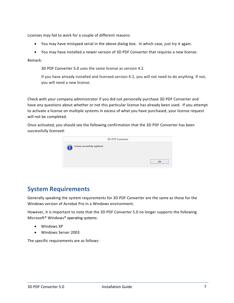Licenses may fail to work for a couple of different reasons:

- You may have mistyped serial in the above dialog box. In which case, just try it again.
- You may have installed a newer version of 3D PDF Converter that requires a new license.

Remark:

3D PDF Converter 5.0 uses the same license as version 4.2.

If you have already installed and licensed version 4.2, you will not need to do anything. If not, you will need a new license.

Check with your company administrator if you did not personally purchase 3D PDF Converter and have any questions about whether or not this particular license has already been used. If you attempt to activate a license on multiple systems in excess of what you have purchased, your license request will not be completed.

Once activated, you should see the following confirmation that the 3D PDF Converter has been successfully licensed:

|                                  | <b>3D PDF Converter</b> |    |
|----------------------------------|-------------------------|----|
| License successfully registered. |                         |    |
|                                  |                         | OK |

### <span id="page-7-0"></span>**System Requirements**

Generally speaking the system requirements for 3D PDF Converter are the same as those for the Windows version of Acrobat Pro in a Windows environment.

However, it is important to note that the 3D PDF Converter 5.0 no longer supports the following Microsoft® Windows® operating systems:

- Windows XP
- Windows Server 2003

The specific requirements are as follows: